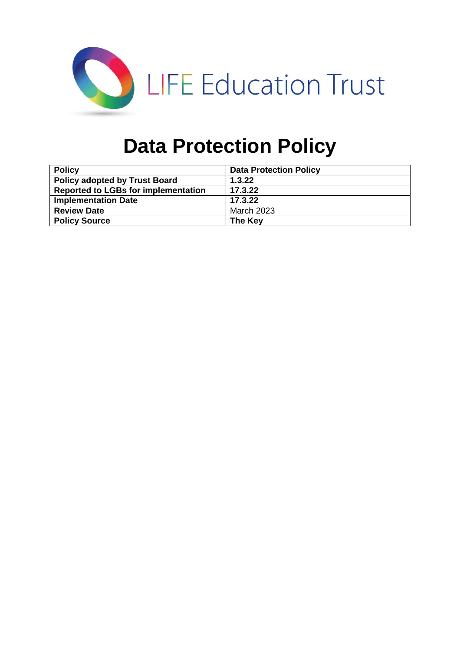

# **Data Protection Policy**

| <b>Policy</b>                              | <b>Data Protection Policy</b> |
|--------------------------------------------|-------------------------------|
| <b>Policy adopted by Trust Board</b>       | 1.3.22                        |
| <b>Reported to LGBs for implementation</b> | 17.3.22                       |
| <b>Implementation Date</b>                 | 17.3.22                       |
| <b>Review Date</b>                         | <b>March 2023</b>             |
| <b>Policy Source</b>                       | The Key                       |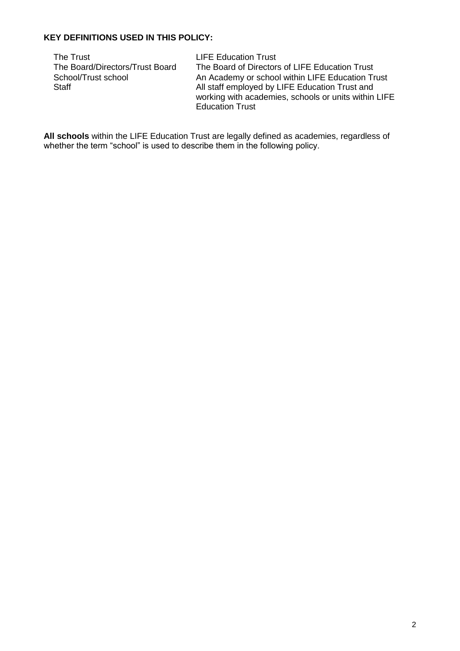### **KEY DEFINITIONS USED IN THIS POLICY:**

| The Trust                       | <b>LIFE Education Trust</b>                          |
|---------------------------------|------------------------------------------------------|
| The Board/Directors/Trust Board | The Board of Directors of LIFE Education Trust       |
| School/Trust school             | An Academy or school within LIFE Education Trust     |
| Staff                           | All staff employed by LIFE Education Trust and       |
|                                 | working with academies, schools or units within LIFE |
|                                 | <b>Education Trust</b>                               |

**All schools** within the LIFE Education Trust are legally defined as academies, regardless of whether the term "school" is used to describe them in the following policy.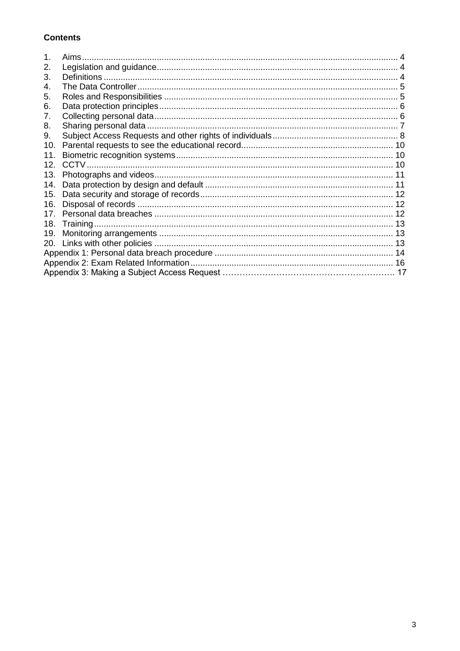### **Contents**

|                 | Aims. |  |
|-----------------|-------|--|
| 2.              |       |  |
| 3.              |       |  |
| 4.              |       |  |
| 5.              |       |  |
| 6.              |       |  |
| 7.              |       |  |
| 8.              |       |  |
| 9.              |       |  |
| 10.             |       |  |
| 11.             |       |  |
| 12.             |       |  |
| 13.             |       |  |
| 14.             |       |  |
| 15.             |       |  |
| 16.             |       |  |
| 17 <sub>1</sub> |       |  |
| 18.             |       |  |
| 19.             |       |  |
| 20.             |       |  |
|                 |       |  |
|                 |       |  |
|                 |       |  |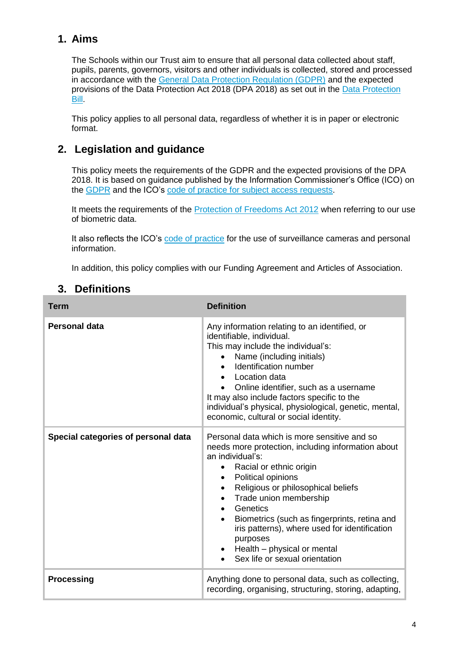# **1. Aims**

The Schools within our Trust aim to ensure that all personal data collected about staff, pupils, parents, governors, visitors and other individuals is collected, stored and processed in accordance with the [General Data Protection Regulation \(GDPR\)](http://data.consilium.europa.eu/doc/document/ST-5419-2016-INIT/en/pdf) and the expected provisions of the Data Protection Act 2018 (DPA 2018) as set out in the [Data Protection](https://publications.parliament.uk/pa/bills/cbill/2017-2019/0153/18153.pdf)  [Bill.](https://publications.parliament.uk/pa/bills/cbill/2017-2019/0153/18153.pdf)

This policy applies to all personal data, regardless of whether it is in paper or electronic format.

# **2. Legislation and guidance**

This policy meets the requirements of the GDPR and the expected provisions of the DPA 2018. It is based on guidance published by the Information Commissioner's Office (ICO) on the [GDPR](https://ico.org.uk/for-organisations/guide-to-the-general-data-protection-regulation-gdpr/) and the ICO's [code of practice for subject access requests.](https://ico.org.uk/media/for-organisations/documents/2014223/subject-access-code-of-practice.pdf)

It meets the requirements of the [Protection of Freedoms Act 2012](https://www.legislation.gov.uk/ukpga/2012/9/part/1/chapter/2) when referring to our use of biometric data.

It also reflects the ICO's [code of practice](https://ico.org.uk/media/for-organisations/documents/1542/cctv-code-of-practice.pdf) for the use of surveillance cameras and personal information.

In addition, this policy complies with our Funding Agreement and Articles of Association.

| <b>Term</b>                         | <b>Definition</b>                                                                                                                                                                                                                                                                                                                                                                                                                                                |
|-------------------------------------|------------------------------------------------------------------------------------------------------------------------------------------------------------------------------------------------------------------------------------------------------------------------------------------------------------------------------------------------------------------------------------------------------------------------------------------------------------------|
| Personal data                       | Any information relating to an identified, or<br>identifiable, individual.<br>This may include the individual's:<br>Name (including initials)<br>Identification number<br>Location data<br>$\bullet$<br>Online identifier, such as a username<br>It may also include factors specific to the<br>individual's physical, physiological, genetic, mental,<br>economic, cultural or social identity.                                                                 |
| Special categories of personal data | Personal data which is more sensitive and so<br>needs more protection, including information about<br>an individual's:<br>Racial or ethnic origin<br>Political opinions<br>Religious or philosophical beliefs<br>٠<br>Trade union membership<br>$\bullet$<br>Genetics<br>Biometrics (such as fingerprints, retina and<br>$\bullet$<br>iris patterns), where used for identification<br>purposes<br>Health - physical or mental<br>Sex life or sexual orientation |
| <b>Processing</b>                   | Anything done to personal data, such as collecting,<br>recording, organising, structuring, storing, adapting,                                                                                                                                                                                                                                                                                                                                                    |

# **3. Definitions**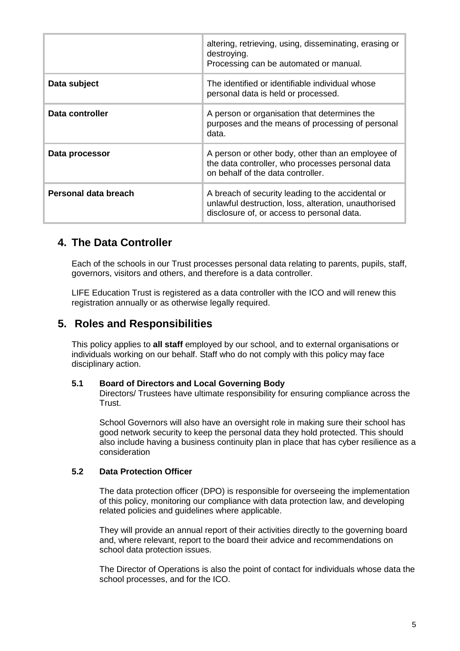|                      | altering, retrieving, using, disseminating, erasing or<br>destroying.<br>Processing can be automated or manual.                                         |
|----------------------|---------------------------------------------------------------------------------------------------------------------------------------------------------|
| Data subject         | The identified or identifiable individual whose<br>personal data is held or processed.                                                                  |
| Data controller      | A person or organisation that determines the<br>purposes and the means of processing of personal<br>data.                                               |
| Data processor       | A person or other body, other than an employee of<br>the data controller, who processes personal data<br>on behalf of the data controller.              |
| Personal data breach | A breach of security leading to the accidental or<br>unlawful destruction, loss, alteration, unauthorised<br>disclosure of, or access to personal data. |

### **4. The Data Controller**

Each of the schools in our Trust processes personal data relating to parents, pupils, staff, governors, visitors and others, and therefore is a data controller.

LIFE Education Trust is registered as a data controller with the ICO and will renew this registration annually or as otherwise legally required.

### **5. Roles and Responsibilities**

This policy applies to **all staff** employed by our school, and to external organisations or individuals working on our behalf. Staff who do not comply with this policy may face disciplinary action.

#### **5.1 Board of Directors and Local Governing Body**

Directors/ Trustees have ultimate responsibility for ensuring compliance across the Trust.

School Governors will also have an oversight role in making sure their school has good network security to keep the personal data they hold protected. This should also include having a business continuity plan in place that has cyber resilience as a consideration

#### **5.2 Data Protection Officer**

The data protection officer (DPO) is responsible for overseeing the implementation of this policy, monitoring our compliance with data protection law, and developing related policies and guidelines where applicable.

They will provide an annual report of their activities directly to the governing board and, where relevant, report to the board their advice and recommendations on school data protection issues.

The Director of Operations is also the point of contact for individuals whose data the school processes, and for the ICO.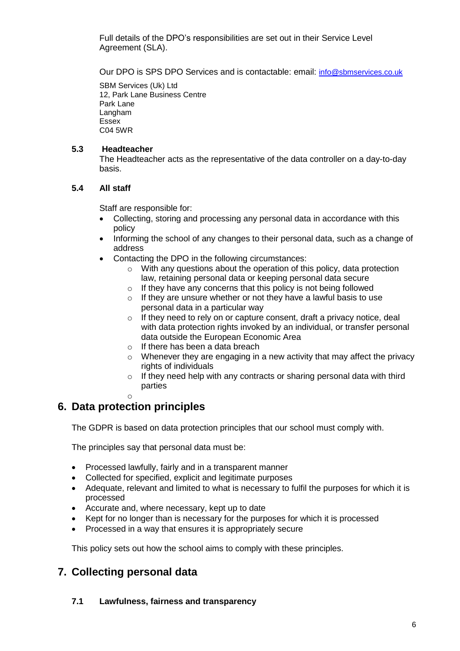Full details of the DPO's responsibilities are set out in their Service Level Agreement (SLA).

Our DPO is SPS DPO Services and is contactable: email: [info@sbmservices.co.uk](mailto:info@sbmservices.co.uk)

SBM Services (Uk) Ltd 12, Park Lane Business Centre Park Lane Langham Essex C04 5WR

#### **5.3 Headteacher**

The Headteacher acts as the representative of the data controller on a day-to-day basis.

### **5.4 All staff**

Staff are responsible for:

- Collecting, storing and processing any personal data in accordance with this policy
- Informing the school of any changes to their personal data, such as a change of address
- Contacting the DPO in the following circumstances:
	- o With any questions about the operation of this policy, data protection law, retaining personal data or keeping personal data secure
	- $\circ$  If they have any concerns that this policy is not being followed
	- $\circ$  If they are unsure whether or not they have a lawful basis to use personal data in a particular way
	- o If they need to rely on or capture consent, draft a privacy notice, deal with data protection rights invoked by an individual, or transfer personal data outside the European Economic Area
	- o If there has been a data breach
	- $\circ$  Whenever they are engaging in a new activity that may affect the privacy rights of individuals
	- $\circ$  If they need help with any contracts or sharing personal data with third parties
	- o

### **6. Data protection principles**

The GDPR is based on data protection principles that our school must comply with.

The principles say that personal data must be:

- Processed lawfully, fairly and in a transparent manner
- Collected for specified, explicit and legitimate purposes
- Adequate, relevant and limited to what is necessary to fulfil the purposes for which it is processed
- Accurate and, where necessary, kept up to date
- Kept for no longer than is necessary for the purposes for which it is processed
- Processed in a way that ensures it is appropriately secure

This policy sets out how the school aims to comply with these principles.

### **7. Collecting personal data**

#### **7.1 Lawfulness, fairness and transparency**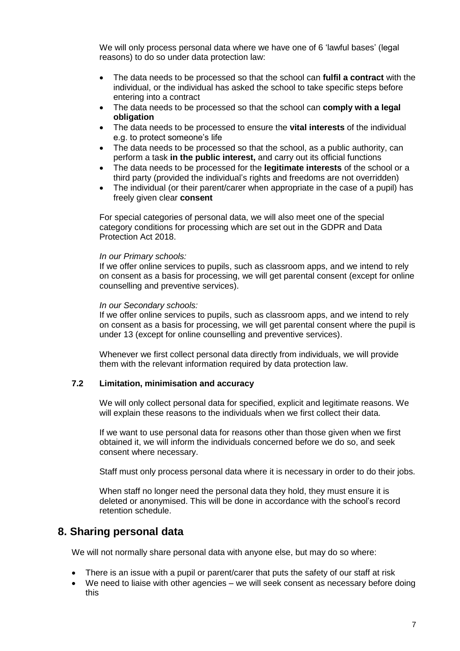We will only process personal data where we have one of 6 'lawful bases' (legal reasons) to do so under data protection law:

- The data needs to be processed so that the school can **fulfil a contract** with the individual, or the individual has asked the school to take specific steps before entering into a contract
- The data needs to be processed so that the school can **comply with a legal obligation**
- The data needs to be processed to ensure the **vital interests** of the individual e.g. to protect someone's life
- The data needs to be processed so that the school, as a public authority, can perform a task **in the public interest,** and carry out its official functions
- The data needs to be processed for the **legitimate interests** of the school or a third party (provided the individual's rights and freedoms are not overridden)
- The individual (or their parent/carer when appropriate in the case of a pupil) has freely given clear **consent**

For special categories of personal data, we will also meet one of the special category conditions for processing which are set out in the GDPR and Data Protection Act 2018.

#### *In our Primary schools:*

If we offer online services to pupils, such as classroom apps, and we intend to rely on consent as a basis for processing, we will get parental consent (except for online counselling and preventive services).

#### *In our Secondary schools:*

If we offer online services to pupils, such as classroom apps, and we intend to rely on consent as a basis for processing, we will get parental consent where the pupil is under 13 (except for online counselling and preventive services).

Whenever we first collect personal data directly from individuals, we will provide them with the relevant information required by data protection law.

#### **7.2 Limitation, minimisation and accuracy**

We will only collect personal data for specified, explicit and legitimate reasons. We will explain these reasons to the individuals when we first collect their data.

If we want to use personal data for reasons other than those given when we first obtained it, we will inform the individuals concerned before we do so, and seek consent where necessary.

Staff must only process personal data where it is necessary in order to do their jobs.

When staff no longer need the personal data they hold, they must ensure it is deleted or anonymised. This will be done in accordance with the school's record retention schedule.

### **8. Sharing personal data**

We will not normally share personal data with anyone else, but may do so where:

- There is an issue with a pupil or parent/carer that puts the safety of our staff at risk
- We need to liaise with other agencies we will seek consent as necessary before doing this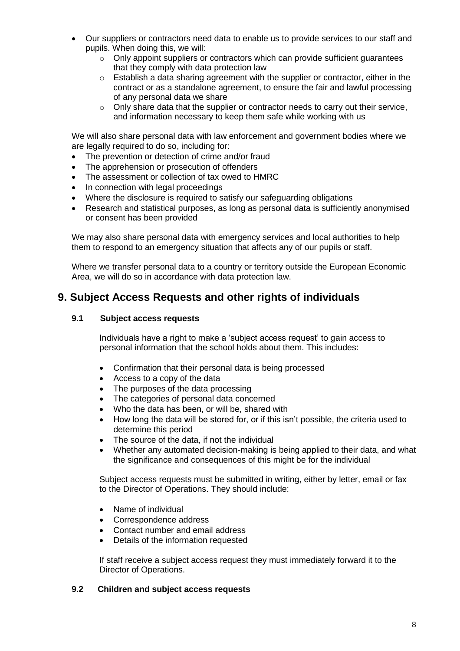- Our suppliers or contractors need data to enable us to provide services to our staff and pupils. When doing this, we will:
	- $\circ$  Only appoint suppliers or contractors which can provide sufficient quarantees that they comply with data protection law
	- $\circ$  Establish a data sharing agreement with the supplier or contractor, either in the contract or as a standalone agreement, to ensure the fair and lawful processing of any personal data we share
	- o Only share data that the supplier or contractor needs to carry out their service, and information necessary to keep them safe while working with us

We will also share personal data with law enforcement and government bodies where we are legally required to do so, including for:

- The prevention or detection of crime and/or fraud
- The apprehension or prosecution of offenders
- The assessment or collection of tax owed to HMRC
- In connection with legal proceedings
- Where the disclosure is required to satisfy our safeguarding obligations
- Research and statistical purposes, as long as personal data is sufficiently anonymised or consent has been provided

We may also share personal data with emergency services and local authorities to help them to respond to an emergency situation that affects any of our pupils or staff.

Where we transfer personal data to a country or territory outside the European Economic Area, we will do so in accordance with data protection law.

### **9. Subject Access Requests and other rights of individuals**

### **9.1 Subject access requests**

Individuals have a right to make a 'subject access request' to gain access to personal information that the school holds about them. This includes:

- Confirmation that their personal data is being processed
- Access to a copy of the data
- The purposes of the data processing
- The categories of personal data concerned
- Who the data has been, or will be, shared with
- How long the data will be stored for, or if this isn't possible, the criteria used to determine this period
- The source of the data, if not the individual
- Whether any automated decision-making is being applied to their data, and what the significance and consequences of this might be for the individual

Subject access requests must be submitted in writing, either by letter, email or fax to the Director of Operations. They should include:

- Name of individual
- Correspondence address
- Contact number and email address
- Details of the information requested

If staff receive a subject access request they must immediately forward it to the Director of Operations.

### **9.2 Children and subject access requests**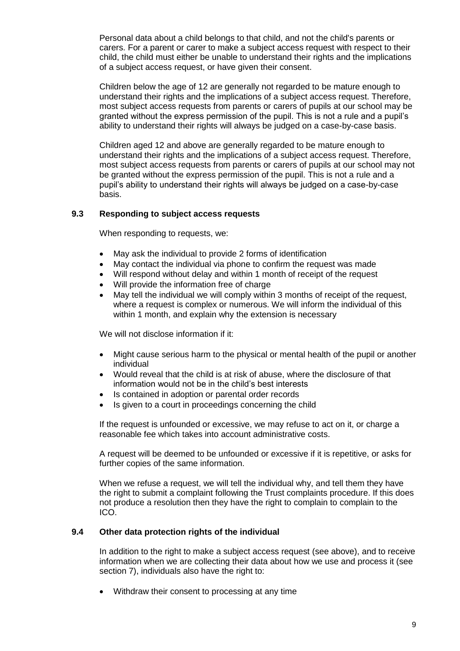Personal data about a child belongs to that child, and not the child's parents or carers. For a parent or carer to make a subject access request with respect to their child, the child must either be unable to understand their rights and the implications of a subject access request, or have given their consent.

Children below the age of 12 are generally not regarded to be mature enough to understand their rights and the implications of a subject access request. Therefore, most subject access requests from parents or carers of pupils at our school may be granted without the express permission of the pupil. This is not a rule and a pupil's ability to understand their rights will always be judged on a case-by-case basis.

Children aged 12 and above are generally regarded to be mature enough to understand their rights and the implications of a subject access request. Therefore, most subject access requests from parents or carers of pupils at our school may not be granted without the express permission of the pupil. This is not a rule and a pupil's ability to understand their rights will always be judged on a case-by-case basis.

### **9.3 Responding to subject access requests**

When responding to requests, we:

- May ask the individual to provide 2 forms of identification
- May contact the individual via phone to confirm the request was made
- Will respond without delay and within 1 month of receipt of the request
- Will provide the information free of charge
- May tell the individual we will comply within 3 months of receipt of the request, where a request is complex or numerous. We will inform the individual of this within 1 month, and explain why the extension is necessary

We will not disclose information if it:

- Might cause serious harm to the physical or mental health of the pupil or another individual
- Would reveal that the child is at risk of abuse, where the disclosure of that information would not be in the child's best interests
- Is contained in adoption or parental order records
- Is given to a court in proceedings concerning the child

If the request is unfounded or excessive, we may refuse to act on it, or charge a reasonable fee which takes into account administrative costs.

A request will be deemed to be unfounded or excessive if it is repetitive, or asks for further copies of the same information.

When we refuse a request, we will tell the individual why, and tell them they have the right to submit a complaint following the Trust complaints procedure. If this does not produce a resolution then they have the right to complain to complain to the ICO.

#### **9.4 Other data protection rights of the individual**

In addition to the right to make a subject access request (see above), and to receive information when we are collecting their data about how we use and process it (see section 7), individuals also have the right to:

Withdraw their consent to processing at any time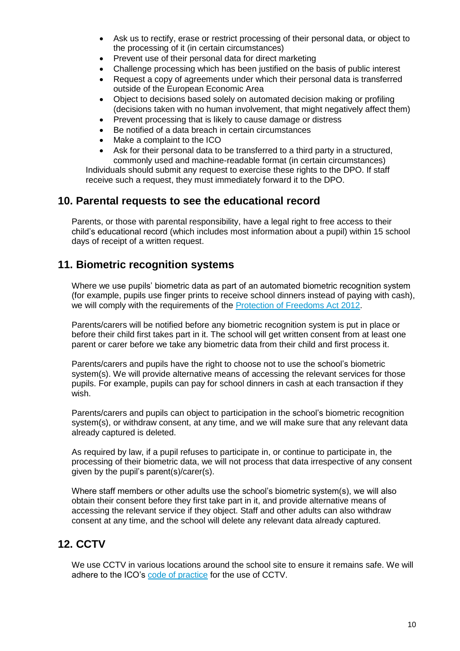- Ask us to rectify, erase or restrict processing of their personal data, or object to the processing of it (in certain circumstances)
- Prevent use of their personal data for direct marketing
- Challenge processing which has been justified on the basis of public interest
- Request a copy of agreements under which their personal data is transferred outside of the European Economic Area
- Object to decisions based solely on automated decision making or profiling (decisions taken with no human involvement, that might negatively affect them)
- Prevent processing that is likely to cause damage or distress
- Be notified of a data breach in certain circumstances
- Make a complaint to the ICO
- Ask for their personal data to be transferred to a third party in a structured, commonly used and machine-readable format (in certain circumstances)

Individuals should submit any request to exercise these rights to the DPO. If staff receive such a request, they must immediately forward it to the DPO.

### **10. Parental requests to see the educational record**

Parents, or those with parental responsibility, have a legal right to free access to their child's educational record (which includes most information about a pupil) within 15 school days of receipt of a written request.

### **11. Biometric recognition systems**

Where we use pupils' biometric data as part of an automated biometric recognition system (for example, pupils use finger prints to receive school dinners instead of paying with cash), we will comply with the requirements of the [Protection of Freedoms Act 2012.](https://www.legislation.gov.uk/ukpga/2012/9/section/26)

Parents/carers will be notified before any biometric recognition system is put in place or before their child first takes part in it. The school will get written consent from at least one parent or carer before we take any biometric data from their child and first process it.

Parents/carers and pupils have the right to choose not to use the school's biometric system(s). We will provide alternative means of accessing the relevant services for those pupils. For example, pupils can pay for school dinners in cash at each transaction if they wish.

Parents/carers and pupils can object to participation in the school's biometric recognition system(s), or withdraw consent, at any time, and we will make sure that any relevant data already captured is deleted.

As required by law, if a pupil refuses to participate in, or continue to participate in, the processing of their biometric data, we will not process that data irrespective of any consent given by the pupil's parent(s)/carer(s).

Where staff members or other adults use the school's biometric system(s), we will also obtain their consent before they first take part in it, and provide alternative means of accessing the relevant service if they object. Staff and other adults can also withdraw consent at any time, and the school will delete any relevant data already captured.

### **12. CCTV**

We use CCTV in various locations around the school site to ensure it remains safe. We will adhere to the ICO's [code of practice](https://ico.org.uk/media/for-organisations/documents/1542/cctv-code-of-practice.pdf) for the use of CCTV.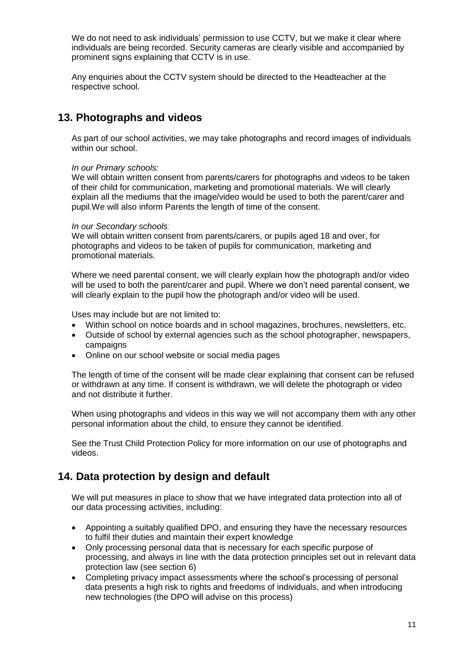We do not need to ask individuals' permission to use CCTV, but we make it clear where individuals are being recorded. Security cameras are clearly visible and accompanied by prominent signs explaining that CCTV is in use.

Any enquiries about the CCTV system should be directed to the Headteacher at the respective school.

### **13. Photographs and videos**

As part of our school activities, we may take photographs and record images of individuals within our school.

#### *In our Primary schools:*

We will obtain written consent from parents/carers for photographs and videos to be taken of their child for communication, marketing and promotional materials. We will clearly explain all the mediums that the image/video would be used to both the parent/carer and pupil.We will also inform Parents the length of time of the consent.

#### *In our Secondary schools:*

We will obtain written consent from parents/carers, or pupils aged 18 and over, for photographs and videos to be taken of pupils for communication, marketing and promotional materials.

Where we need parental consent, we will clearly explain how the photograph and/or video will be used to both the parent/carer and pupil. Where we don't need parental consent, we will clearly explain to the pupil how the photograph and/or video will be used.

Uses may include but are not limited to:

- Within school on notice boards and in school magazines, brochures, newsletters, etc.
- Outside of school by external agencies such as the school photographer, newspapers, campaigns
- Online on our school website or social media pages

The length of time of the consent will be made clear explaining that consent can be refused or withdrawn at any time. If consent is withdrawn, we will delete the photograph or video and not distribute it further.

When using photographs and videos in this way we will not accompany them with any other personal information about the child, to ensure they cannot be identified.

See the Trust Child Protection Policy for more information on our use of photographs and videos.

### **14. Data protection by design and default**

We will put measures in place to show that we have integrated data protection into all of our data processing activities, including:

- Appointing a suitably qualified DPO, and ensuring they have the necessary resources to fulfil their duties and maintain their expert knowledge
- Only processing personal data that is necessary for each specific purpose of processing, and always in line with the data protection principles set out in relevant data protection law (see section 6)
- Completing privacy impact assessments where the school's processing of personal data presents a high risk to rights and freedoms of individuals, and when introducing new technologies (the DPO will advise on this process)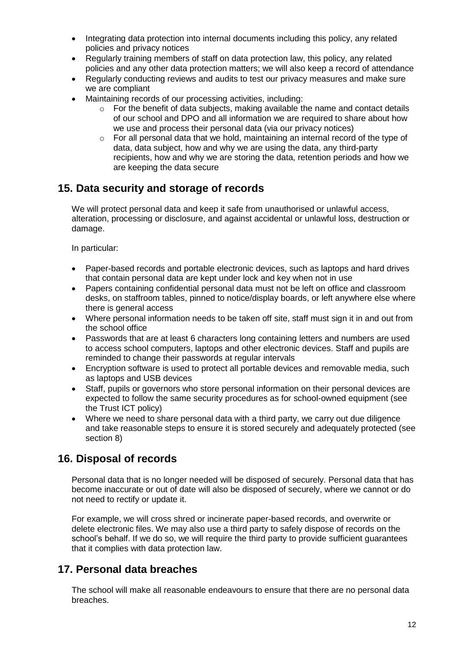- Integrating data protection into internal documents including this policy, any related policies and privacy notices
- Regularly training members of staff on data protection law, this policy, any related policies and any other data protection matters; we will also keep a record of attendance
- Regularly conducting reviews and audits to test our privacy measures and make sure we are compliant
- Maintaining records of our processing activities, including:
	- $\circ$  For the benefit of data subjects, making available the name and contact details of our school and DPO and all information we are required to share about how we use and process their personal data (via our privacy notices)
	- o For all personal data that we hold, maintaining an internal record of the type of data, data subject, how and why we are using the data, any third-party recipients, how and why we are storing the data, retention periods and how we are keeping the data secure

### **15. Data security and storage of records**

We will protect personal data and keep it safe from unauthorised or unlawful access, alteration, processing or disclosure, and against accidental or unlawful loss, destruction or damage.

In particular:

- Paper-based records and portable electronic devices, such as laptops and hard drives that contain personal data are kept under lock and key when not in use
- Papers containing confidential personal data must not be left on office and classroom desks, on staffroom tables, pinned to notice/display boards, or left anywhere else where there is general access
- Where personal information needs to be taken off site, staff must sign it in and out from the school office
- Passwords that are at least 6 characters long containing letters and numbers are used to access school computers, laptops and other electronic devices. Staff and pupils are reminded to change their passwords at regular intervals
- Encryption software is used to protect all portable devices and removable media, such as laptops and USB devices
- Staff, pupils or governors who store personal information on their personal devices are expected to follow the same security procedures as for school-owned equipment (see the Trust ICT policy)
- Where we need to share personal data with a third party, we carry out due diligence and take reasonable steps to ensure it is stored securely and adequately protected (see section 8)

### **16. Disposal of records**

Personal data that is no longer needed will be disposed of securely. Personal data that has become inaccurate or out of date will also be disposed of securely, where we cannot or do not need to rectify or update it.

For example, we will cross shred or incinerate paper-based records, and overwrite or delete electronic files. We may also use a third party to safely dispose of records on the school's behalf. If we do so, we will require the third party to provide sufficient guarantees that it complies with data protection law.

### **17. Personal data breaches**

The school will make all reasonable endeavours to ensure that there are no personal data breaches.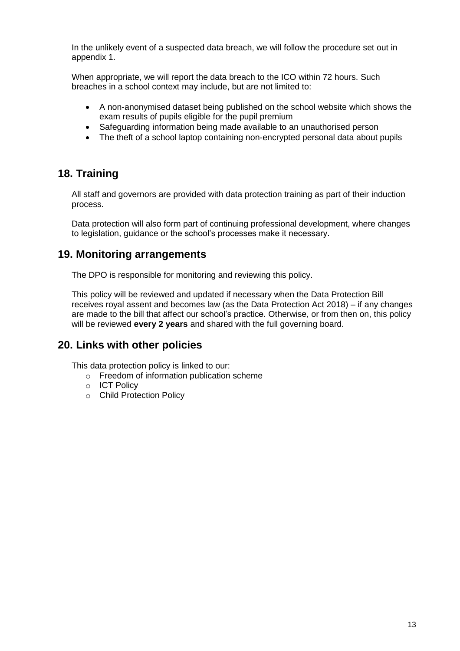In the unlikely event of a suspected data breach, we will follow the procedure set out in appendix 1.

When appropriate, we will report the data breach to the ICO within 72 hours. Such breaches in a school context may include, but are not limited to:

- A non-anonymised dataset being published on the school website which shows the exam results of pupils eligible for the pupil premium
- Safeguarding information being made available to an unauthorised person
- The theft of a school laptop containing non-encrypted personal data about pupils

### **18. Training**

All staff and governors are provided with data protection training as part of their induction process.

Data protection will also form part of continuing professional development, where changes to legislation, guidance or the school's processes make it necessary.

### **19. Monitoring arrangements**

The DPO is responsible for monitoring and reviewing this policy.

This policy will be reviewed and updated if necessary when the Data Protection Bill receives royal assent and becomes law (as the Data Protection Act 2018) – if any changes are made to the bill that affect our school's practice. Otherwise, or from then on, this policy will be reviewed **every 2 years** and shared with the full governing board.

### **20. Links with other policies**

This data protection policy is linked to our:

- o Freedom of information publication scheme
- o ICT Policy
- o Child Protection Policy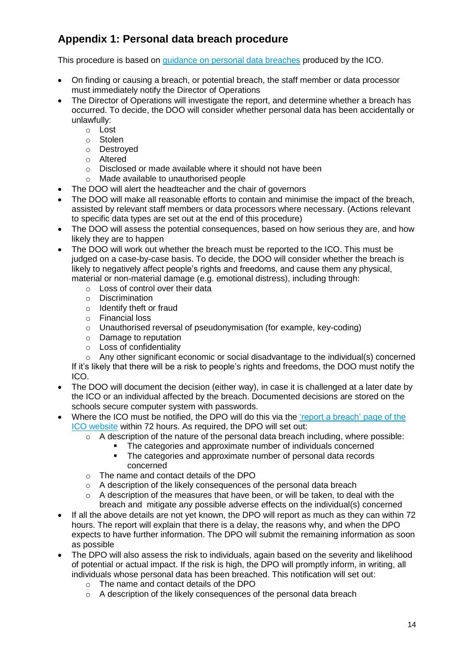# **Appendix 1: Personal data breach procedure**

This procedure is based on [guidance on personal data breaches](https://ico.org.uk/for-organisations/guide-to-the-general-data-protection-regulation-gdpr/personal-data-breaches/) produced by the ICO.

- On finding or causing a breach, or potential breach, the staff member or data processor must immediately notify the Director of Operations
- The Director of Operations will investigate the report, and determine whether a breach has occurred. To decide, the DOO will consider whether personal data has been accidentally or unlawfully:
	- o Lost
	- o Stolen
	- o Destroyed
	- o Altered
	- o Disclosed or made available where it should not have been
	- o Made available to unauthorised people
- The DOO will alert the headteacher and the chair of governors
- The DOO will make all reasonable efforts to contain and minimise the impact of the breach, assisted by relevant staff members or data processors where necessary. (Actions relevant to specific data types are set out at the end of this procedure)
- The DOO will assess the potential consequences, based on how serious they are, and how likely they are to happen
- The DOO will work out whether the breach must be reported to the ICO. This must be judged on a case-by-case basis. To decide, the DOO will consider whether the breach is likely to negatively affect people's rights and freedoms, and cause them any physical, material or non-material damage (e.g. emotional distress), including through:
	- o Loss of control over their data
	- o Discrimination
	- o Identify theft or fraud
	- o Financial loss
	- o Unauthorised reversal of pseudonymisation (for example, key-coding)
	- o Damage to reputation
	- o Loss of confidentiality

o Any other significant economic or social disadvantage to the individual(s) concerned If it's likely that there will be a risk to people's rights and freedoms, the DOO must notify the ICO.

- The DOO will document the decision (either way), in case it is challenged at a later date by the ICO or an individual affected by the breach. Documented decisions are stored on the schools secure computer system with passwords.
- Where the ICO must be notified, the DPO will do this via the ['report a breach'](https://ico.org.uk/for-organisations/report-a-breach/) page of the [ICO website](https://ico.org.uk/for-organisations/report-a-breach/) within 72 hours. As required, the DPO will set out:
	- $\circ$  A description of the nature of the personal data breach including, where possible:
		- The categories and approximate number of individuals concerned<br>The categories and approximate number of personal data records
		- The categories and approximate number of personal data records concerned
	- o The name and contact details of the DPO
	- o A description of the likely consequences of the personal data breach
	- $\circ$  A description of the measures that have been, or will be taken, to deal with the breach and mitigate any possible adverse effects on the individual(s) concerned
- If all the above details are not yet known, the DPO will report as much as they can within 72 hours. The report will explain that there is a delay, the reasons why, and when the DPO expects to have further information. The DPO will submit the remaining information as soon as possible
- The DPO will also assess the risk to individuals, again based on the severity and likelihood of potential or actual impact. If the risk is high, the DPO will promptly inform, in writing, all individuals whose personal data has been breached. This notification will set out:
	- o The name and contact details of the DPO
	- o A description of the likely consequences of the personal data breach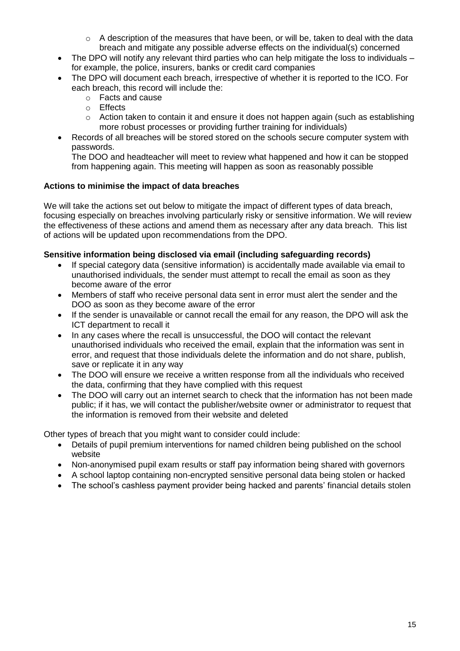- o A description of the measures that have been, or will be, taken to deal with the data breach and mitigate any possible adverse effects on the individual(s) concerned
- The DPO will notify any relevant third parties who can help mitigate the loss to individuals for example, the police, insurers, banks or credit card companies
- The DPO will document each breach, irrespective of whether it is reported to the ICO. For each breach, this record will include the:
	- o Facts and cause
	- o Effects
	- o Action taken to contain it and ensure it does not happen again (such as establishing more robust processes or providing further training for individuals)
- Records of all breaches will be stored stored on the schools secure computer system with passwords.

The DOO and headteacher will meet to review what happened and how it can be stopped from happening again. This meeting will happen as soon as reasonably possible

### **Actions to minimise the impact of data breaches**

We will take the actions set out below to mitigate the impact of different types of data breach, focusing especially on breaches involving particularly risky or sensitive information. We will review the effectiveness of these actions and amend them as necessary after any data breach. This list of actions will be updated upon recommendations from the DPO.

### **Sensitive information being disclosed via email (including safeguarding records)**

- If special category data (sensitive information) is accidentally made available via email to unauthorised individuals, the sender must attempt to recall the email as soon as they become aware of the error
- Members of staff who receive personal data sent in error must alert the sender and the DOO as soon as they become aware of the error
- If the sender is unavailable or cannot recall the email for any reason, the DPO will ask the ICT department to recall it
- In any cases where the recall is unsuccessful, the DOO will contact the relevant unauthorised individuals who received the email, explain that the information was sent in error, and request that those individuals delete the information and do not share, publish, save or replicate it in any way
- The DOO will ensure we receive a written response from all the individuals who received the data, confirming that they have complied with this request
- The DOO will carry out an internet search to check that the information has not been made public; if it has, we will contact the publisher/website owner or administrator to request that the information is removed from their website and deleted

Other types of breach that you might want to consider could include:

- Details of pupil premium interventions for named children being published on the school website
- Non-anonymised pupil exam results or staff pay information being shared with governors
- A school laptop containing non-encrypted sensitive personal data being stolen or hacked
- The school's cashless payment provider being hacked and parents' financial details stolen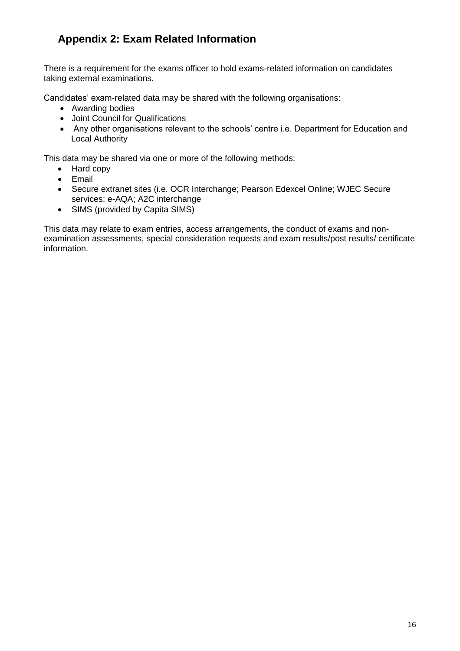# **Appendix 2: Exam Related Information**

There is a requirement for the exams officer to hold exams-related information on candidates taking external examinations.

Candidates' exam-related data may be shared with the following organisations:

- Awarding bodies
- Joint Council for Qualifications
- Any other organisations relevant to the schools' centre i.e. Department for Education and Local Authority

This data may be shared via one or more of the following methods:

- Hard copy
- Email
- Secure extranet sites (i.e. OCR Interchange; Pearson Edexcel Online; WJEC Secure services; e-AQA; A2C interchange
- SIMS (provided by Capita SIMS)

This data may relate to exam entries, access arrangements, the conduct of exams and nonexamination assessments, special consideration requests and exam results/post results/ certificate information.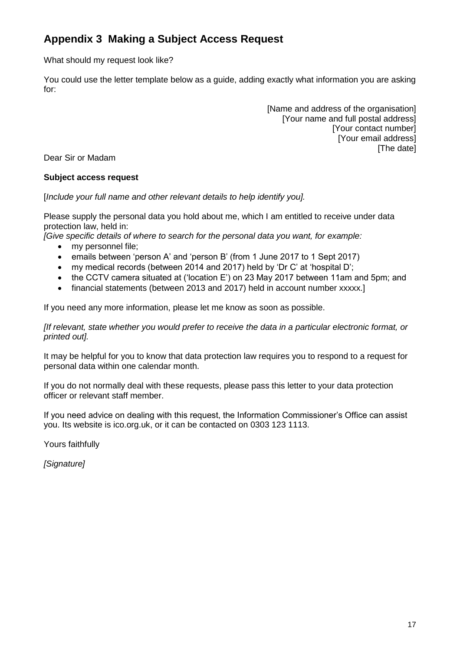# **Appendix 3 Making a Subject Access Request**

What should my request look like?

You could use the letter template below as a guide, adding exactly what information you are asking for:

> [Name and address of the organisation] [Your name and full postal address] [Your contact number] [Your email address] [The date]

Dear Sir or Madam

### **Subject access request**

[*Include your full name and other relevant details to help identify you].*

Please supply the personal data you hold about me, which I am entitled to receive under data protection law, held in:

*[Give specific details of where to search for the personal data you want, for example:*

- my personnel file:
- emails between 'person A' and 'person B' (from 1 June 2017 to 1 Sept 2017)
- my medical records (between 2014 and 2017) held by 'Dr C' at 'hospital D';
- the CCTV camera situated at ('location E') on 23 May 2017 between 11am and 5pm; and
- financial statements (between 2013 and 2017) held in account number xxxxx.]

If you need any more information, please let me know as soon as possible.

*[If relevant, state whether you would prefer to receive the data in a particular electronic format, or printed out].*

It may be helpful for you to know that data protection law requires you to respond to a request for personal data within one calendar month.

If you do not normally deal with these requests, please pass this letter to your data protection officer or relevant staff member.

If you need advice on dealing with this request, the Information Commissioner's Office can assist you. Its website is ico.org.uk, or it can be contacted on 0303 123 1113.

Yours faithfully

*[Signature]*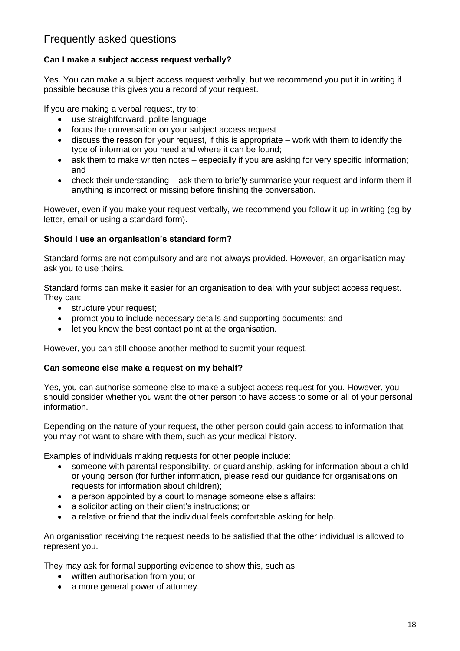### Frequently asked questions

### **Can I make a subject access request verbally?**

Yes. You can make a subject access request verbally, but we recommend you put it in writing if possible because this gives you a record of your request.

If you are making a verbal request, try to:

- use straightforward, polite language
- focus the conversation on your subject access request
- discuss the reason for your request, if this is appropriate work with them to identify the type of information you need and where it can be found;
- ask them to make written notes especially if you are asking for very specific information; and
- check their understanding ask them to briefly summarise your request and inform them if anything is incorrect or missing before finishing the conversation.

However, even if you make your request verbally, we recommend you follow it up in writing (eg by letter, email or using a standard form).

#### **Should I use an organisation's standard form?**

Standard forms are not compulsory and are not always provided. However, an organisation may ask you to use theirs.

Standard forms can make it easier for an organisation to deal with your subject access request. They can:

- structure your request;
- prompt you to include necessary details and supporting documents; and
- let you know the best contact point at the organisation.

However, you can still choose another method to submit your request.

#### **Can someone else make a request on my behalf?**

Yes, you can authorise someone else to make a subject access request for you. However, you should consider whether you want the other person to have access to some or all of your personal information.

Depending on the nature of your request, the other person could gain access to information that you may not want to share with them, such as your medical history.

Examples of individuals making requests for other people include:

- someone with parental responsibility, or guardianship, asking for information about a child or young person (for further information, please read our guidance for organisations on requests for information about children);
- a person appointed by a court to manage someone else's affairs;
- a solicitor acting on their client's instructions; or
- a relative or friend that the individual feels comfortable asking for help.

An organisation receiving the request needs to be satisfied that the other individual is allowed to represent you.

They may ask for formal supporting evidence to show this, such as:

- written authorisation from you; or
- a more general power of attorney.